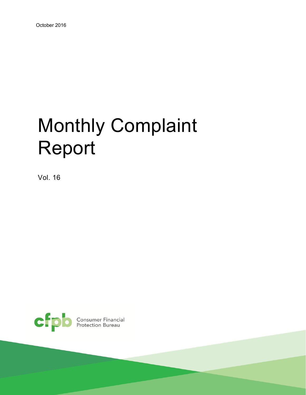# Monthly Complaint Report

Vol. 16

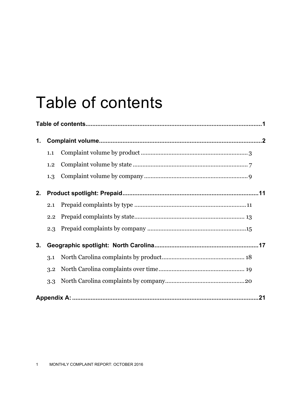## Table of contents

| 1. |     |  |
|----|-----|--|
|    | 1.1 |  |
|    | 1.2 |  |
|    | 1.3 |  |
| 2. |     |  |
|    | 2.1 |  |
|    | 2.2 |  |
|    | 2.3 |  |
| 3. |     |  |
|    | 3.1 |  |
|    | 3.2 |  |
|    | 3.3 |  |
|    |     |  |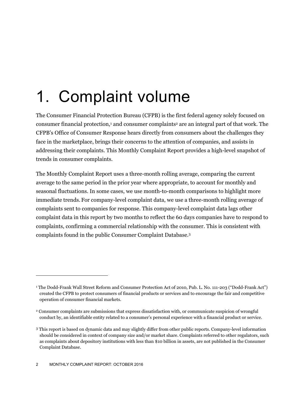## 1. Complaint volume

The Consumer Financial Protection Bureau (CFPB) is the first federal agency solely focused on consumer financial protection,<sup>1</sup> and consumer complaints<sup>2</sup> are an integral part of that work. The CFPB's Office of Consumer Response hears directly from consumers about the challenges they face in the marketplace, brings their concerns to the attention of companies, and assists in addressing their complaints. This Monthly Complaint Report provides a high-level snapshot of trends in consumer complaints.

The Monthly Complaint Report uses a three-month rolling average, comparing the current average to the same period in the prior year where appropriate, to account for monthly and seasonal fluctuations. In some cases, we use month-to-month comparisons to highlight more immediate trends. For company-level complaint data, we use a three-month rolling average of complaints sent to companies for response. This company-level complaint data lags other complaint data in this report by two months to reflect the 60 days companies have to respond to complaints, confirming a commercial relationship with the consumer. This is consistent with complaints found in the public Consumer Complaint Database.3

<sup>1</sup> The Dodd-Frank Wall Street Reform and Consumer Protection Act of 2010, Pub. L. No. 111-203 ("Dodd-Frank Act") created the CFPB to protect consumers of financial products or services and to encourage the fair and competitive operation of consumer financial markets.

<sup>2</sup> Consumer complaints are submissions that express dissatisfaction with, or communicate suspicion of wrongful conduct by, an identifiable entity related to a consumer's personal experience with a financial product or service.

<sup>3</sup> This report is based on dynamic data and may slightly differ from other public reports. Company-level information should be considered in context of company size and/or market share. Complaints referred to other regulators, such as complaints about depository institutions with less than \$10 billion in assets, are not published in the Consumer Complaint Database.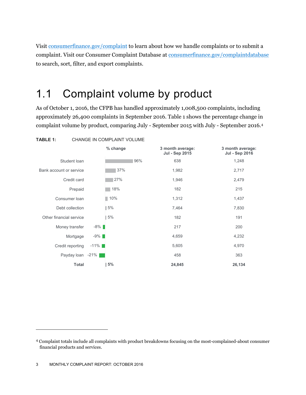Visit consumerfinance.gov/complaint to learn about how we handle complaints or to submit a complaint. Visit our Consumer Complaint Database at consumerfinance.gov/complaintdatabase to search, sort, filter, and export complaints.

### 1.1 Complaint volume by product

As of October 1, 2016, the CFPB has handled approximately 1,008,500 complaints, including approximately 26,400 complaints in September 2016. Table 1 shows the percentage change in complaint volume by product, comparing July - September 2015 with July - September 2016.4



 $\overline{a}$ 

<sup>4</sup> Complaint totals include all complaints with product breakdowns focusing on the most-complained-about consumer financial products and services.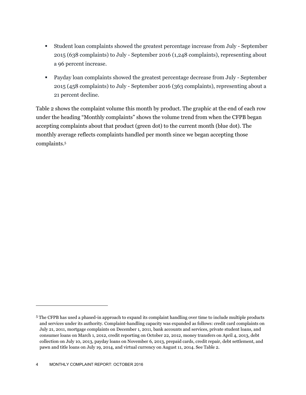- Student loan complaints showed the greatest percentage increase from July September 2015 (638 complaints) to July - September 2016 (1,248 complaints), representing about a 96 percent increase.
- Payday loan complaints showed the greatest percentage decrease from July September 2015 (458 complaints) to July - September 2016 (363 complaints), representing about a 21 percent decline.

Table 2 shows the complaint volume this month by product. The graphic at the end of each row under the heading "Monthly complaints" shows the volume trend from when the CFPB began accepting complaints about that product (green dot) to the current month (blue dot). The monthly average reflects complaints handled per month since we began accepting those complaints.5

<sup>5</sup> The CFPB has used a phased-in approach to expand its complaint handling over time to include multiple products and services under its authority. Complaint-handling capacity was expanded as follows: credit card complaints on July 21, 2011, mortgage complaints on December 1, 2011, bank accounts and services, private student loans, and consumer loans on March 1, 2012, credit reporting on October 22, 2012, money transfers on April 4, 2013, debt collection on July 10, 2013, payday loans on November 6, 2013, prepaid cards, credit repair, debt settlement, and pawn and title loans on July 19, 2014, and virtual currency on August 11, 2014. See Table 2.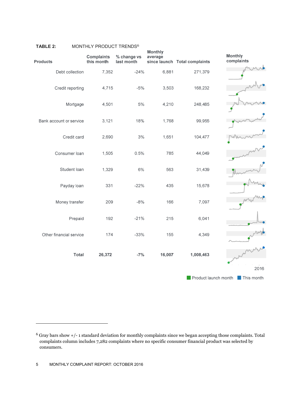| <b>Products</b>         | <b>Complaints</b><br>this month | % change vs<br>last month | <b>Monthly</b><br>average | since launch Total complaints | Monthly<br>complaints           |
|-------------------------|---------------------------------|---------------------------|---------------------------|-------------------------------|---------------------------------|
| Debt collection         | 7,352                           | $-24%$                    | 6,881                     | 271,379                       |                                 |
| Credit reporting        | 4,715                           | $-5%$                     | 3,503                     | 168,232                       |                                 |
| Mortgage                | 4,501                           | 5%                        | 4,210                     | 248,485                       |                                 |
| Bank account or service | 3,121                           | 18%                       | 1,768                     | 99,955                        |                                 |
| Credit card             | 2,690                           | 3%                        | 1,651                     | 104,477                       |                                 |
| Consumer loan           | 1,505                           | 0.5%                      | 785                       | 44,049                        |                                 |
| Student loan            | 1,329                           | 6%                        | 563                       | 31,439                        |                                 |
| Payday loan             | 331                             | $-22%$                    | 435                       | 15,678                        |                                 |
| Money transfer          | 209                             | $-8%$                     | 166                       | 7,097                         |                                 |
| Prepaid                 | 192                             | $-21%$                    | 215                       | 6,041                         |                                 |
| Other financial service | 174                             | $-33%$                    | 155                       | 4,349                         |                                 |
| Total                   | 26,372                          | $-7%$                     | 16,007                    | 1,008,463                     |                                 |
|                         |                                 |                           |                           |                               | 2016                            |
|                         |                                 |                           |                           |                               | Product launch month This month |

#### **TABLE 2:** MONTHLY PRODUCT TRENDS<sup>6</sup>

 $\overline{a}$ 

<sup>6</sup> Gray bars show +/- 1 standard deviation for monthly complaints since we began accepting those complaints. Total complaints column includes 7,282 complaints where no specific consumer financial product was selected by consumers.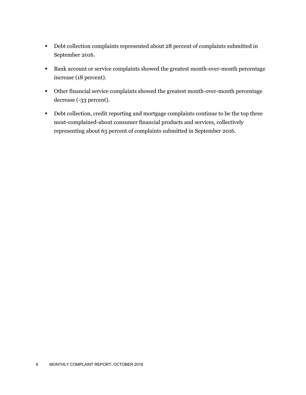- Debt collection complaints represented about 28 percent of complaints submitted in September 2016.
- Bank account or service complaints showed the greatest month-over-month percentage increase (18 percent).
- Other financial service complaints showed the greatest month-over-month percentage decrease (-33 percent).
- Debt collection, credit reporting and mortgage complaints continue to be the top three most-complained-about consumer financial products and services, collectively representing about 63 percent of complaints submitted in September 2016.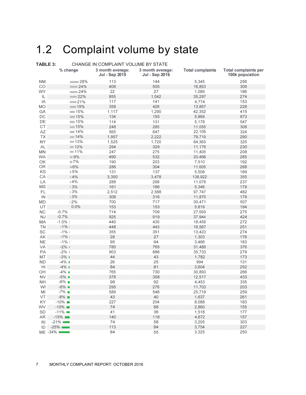### 1.2 Complaint volume by state

| TABLE 3:               |                        | CHANGE IN COMPLAINT VOLUME BY STATE |                                           |                                           |                         |                                                |  |  |  |  |  |  |
|------------------------|------------------------|-------------------------------------|-------------------------------------------|-------------------------------------------|-------------------------|------------------------------------------------|--|--|--|--|--|--|
|                        | % change               |                                     | 3 month average:<br><b>Jul - Sep 2015</b> | 3 month average:<br><b>Jul - Sep 2016</b> | <b>Total complaints</b> | <b>Total complaints per</b><br>100k population |  |  |  |  |  |  |
| ΝM                     |                        | ∎28%                                | 113                                       | 144                                       | 5,345                   | 256                                            |  |  |  |  |  |  |
| CO                     |                        | 24%                                 | 406                                       | 505                                       | 16,853                  | 309                                            |  |  |  |  |  |  |
| <b>WY</b>              |                        | 124%                                | 22                                        | 27                                        | 1,089                   | 186                                            |  |  |  |  |  |  |
| IL                     |                        | $\sim$ 22%                          | 855                                       | 1,042                                     | 35,297                  | 274                                            |  |  |  |  |  |  |
| ΙA                     |                        | $-21%$                              | 117                                       | 141                                       | 4,774                   | 153                                            |  |  |  |  |  |  |
| MO                     |                        | 19%                                 | 358                                       | 426                                       | 13,857                  | 228                                            |  |  |  |  |  |  |
| GA                     |                        | 15%                                 | 1,117                                     | 1,290                                     | 42,352                  | 415                                            |  |  |  |  |  |  |
| $\mathsf{DC}$          |                        | $-15%$                              | 134                                       | 155                                       | 5,869                   | 873                                            |  |  |  |  |  |  |
| DE                     |                        | 15%                                 | 114                                       | 131                                       | 5,178                   | 547                                            |  |  |  |  |  |  |
| CT                     |                        | $-15%$                              | 248                                       | 285                                       | 11,055                  | 308                                            |  |  |  |  |  |  |
| $\mathsf{A}\mathsf{Z}$ |                        | $-14%$                              | 565                                       | 647                                       | 22,105                  | 324                                            |  |  |  |  |  |  |
| TX                     |                        | $-14%$                              | 1,957                                     | 2,222                                     | 79,710                  | 290                                            |  |  |  |  |  |  |
| <b>NY</b>              |                        | $-13%$                              | 1,525                                     | 1,720                                     | 64,363                  | 325                                            |  |  |  |  |  |  |
| $\mathsf{AL}$          |                        | 12%                                 | 294                                       | 329                                       | 11,176                  | 230                                            |  |  |  |  |  |  |
| MN                     |                        | $-11%$                              | 247                                       | 275                                       | 11,405                  | 208                                            |  |  |  |  |  |  |
| WA                     |                        | $\blacksquare$ 9%                   | 490                                       | 532                                       | 20,466                  | 285                                            |  |  |  |  |  |  |
| OK                     |                        | $\blacksquare$ 7%                   | 190                                       | 203                                       | 7,510                   | 192                                            |  |  |  |  |  |  |
| OR                     |                        | $\equiv 6\%$                        | 286                                       | 304                                       | 11,605                  | 288                                            |  |  |  |  |  |  |
| KS                     |                        | 15%                                 | 131                                       | 137                                       | 5,508                   | 189                                            |  |  |  |  |  |  |
| CA                     |                        | $\blacksquare$ 4%                   | 3,350                                     | 3,478                                     | 138,922                 | 355                                            |  |  |  |  |  |  |
| LA                     |                        | $\blacksquare$ 4%                   | 288                                       | 298                                       | 11,078                  | 237                                            |  |  |  |  |  |  |
| $\mathsf{MS}\xspace$   |                        | $\mathbb{I} 3\%$                    | 161                                       | 166                                       | 5,346                   | 179                                            |  |  |  |  |  |  |
| FL.                    |                        | $\mathbb{I} 3\%$                    | 2,512                                     | 2,588                                     | 97,747                  | 482                                            |  |  |  |  |  |  |
| IN                     |                        | 13%                                 | 308                                       | 316                                       | 11,870                  | 179                                            |  |  |  |  |  |  |
| MD                     |                        | 12%                                 | 700                                       | 717                                       | 30,471                  | 507                                            |  |  |  |  |  |  |
| UT                     |                        | 10.0%                               | 153                                       | 153                                       | 5,819                   | 194                                            |  |  |  |  |  |  |
| $\sf NC$               | $-0.7%$                |                                     | 714                                       | 709                                       | 27,593                  | 275                                            |  |  |  |  |  |  |
| $\mathsf{N}\mathsf{J}$ | $-0.7%$                |                                     | 925                                       | 919                                       | 37,944                  | 424                                            |  |  |  |  |  |  |
| MA                     | $-1.0\%$               |                                     | 440                                       | 435                                       | 18,459                  | 272                                            |  |  |  |  |  |  |
| <b>TN</b>              | $-1\%$                 |                                     | 448                                       | 443                                       | 16,567                  | 251                                            |  |  |  |  |  |  |
| SC                     | $-1%1$                 |                                     | 355                                       | 351                                       | 13,423                  | 274                                            |  |  |  |  |  |  |
| AK                     | $-1\%$                 |                                     | 28                                        | 27                                        | 1,303                   | 176                                            |  |  |  |  |  |  |
| <b>NE</b>              | $-1\%$ 1               |                                     | 95                                        | 94                                        | 3,466                   | 183                                            |  |  |  |  |  |  |
| VA                     | $-2\%$ 1               |                                     | 780                                       | 765                                       | 31,480                  | 376                                            |  |  |  |  |  |  |
| PA                     | $-2\%$ 1               |                                     | 903                                       | 886                                       | 35,733                  | 279                                            |  |  |  |  |  |  |
| MT                     | $-3\%$                 |                                     | 44                                        | 43                                        | 1,782                   | 173                                            |  |  |  |  |  |  |
| <b>ND</b>              | $-4\%$ $\blacksquare$  |                                     | 26                                        | 25                                        | 994                     | 131                                            |  |  |  |  |  |  |
| HI                     | $-4\%$ $\blacksquare$  |                                     | 84                                        | 81                                        | 3,604                   | 252                                            |  |  |  |  |  |  |
| OH                     | $-4\%$                 |                                     | 765                                       | 730                                       | 30,893                  | 266                                            |  |  |  |  |  |  |
| <b>NV</b>              | $-5\%$                 |                                     | 378                                       | 358                                       | 12,517                  | 433                                            |  |  |  |  |  |  |
| <b>NH</b>              | $-6\%$                 |                                     | 98                                        | 92                                        | 4,453                   | 335                                            |  |  |  |  |  |  |
| WI                     | $-6\%$ $\blacksquare$  |                                     | 295                                       | 276                                       | 11,703                  | 203                                            |  |  |  |  |  |  |
| MI                     | $-7\%$                 |                                     | 589                                       | 546                                       | 25,710                  | 259                                            |  |  |  |  |  |  |
| VT                     | $-8\%$                 |                                     | 43                                        | 40                                        | 1,637                   | 261                                            |  |  |  |  |  |  |
| KY.                    | $-10\%$ $\blacksquare$ |                                     | 227                                       | 204                                       | 8,088                   | 183                                            |  |  |  |  |  |  |
| <b>WV</b>              | $-10\%$                |                                     | 74                                        | 66                                        | 2,860                   | 155                                            |  |  |  |  |  |  |
| SD                     | $-11\%$ $\blacksquare$ |                                     | 41                                        | 36                                        | 1,518                   | 177                                            |  |  |  |  |  |  |
| AR                     | $-15\%$                |                                     | 140                                       | 118                                       | 4,672                   | 157                                            |  |  |  |  |  |  |
| <b>RI</b>              | $-21\%$                |                                     | 74                                        | 58                                        | 3,205                   | 303                                            |  |  |  |  |  |  |
| ID                     | $-25\%$                |                                     | 113                                       | 84                                        | 3,754                   | 227                                            |  |  |  |  |  |  |
|                        | ME -34%                |                                     | 84                                        | 55                                        | 3,325                   | 250                                            |  |  |  |  |  |  |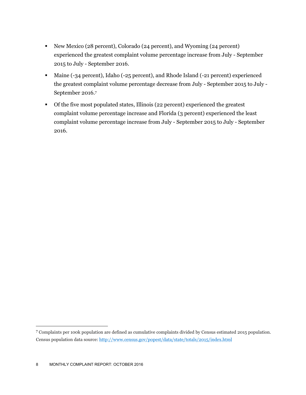- New Mexico (28 percent), Colorado (24 percent), and Wyoming (24 percent) experienced the greatest complaint volume percentage increase from July - September 2015 to July - September 2016.
- Maine (-34 percent), Idaho (-25 percent), and Rhode Island (-21 percent) experienced the greatest complaint volume percentage decrease from July - September 2015 to July - September 2016.7
- Of the five most populated states, Illinois (22 percent) experienced the greatest complaint volume percentage increase and Florida (3 percent) experienced the least complaint volume percentage increase from July - September 2015 to July - September 2016.

<u>.</u>

<sup>7</sup> Complaints per 100k population are defined as cumulative complaints divided by Census estimated 2015 population. Census population data source: http://www.census.gov/popest/data/state/totals/2015/index.html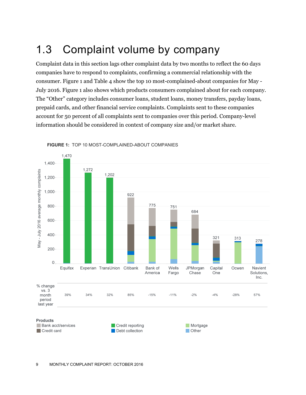### 1.3 Complaint volume by company

Complaint data in this section lags other complaint data by two months to reflect the 60 days companies have to respond to complaints, confirming a commercial relationship with the consumer. Figure 1 and Table 4 show the top 10 most-complained-about companies for May - July 2016. Figure 1 also shows which products consumers complained about for each company. The "Other" category includes consumer loans, student loans, money transfers, payday loans, prepaid cards, and other financial service complaints. Complaints sent to these companies account for 50 percent of all complaints sent to companies over this period. Company-level information should be considered in context of company size and/or market share.



**FIGURE 1:** TOP 10 MOST-COMPLAINED-ABOUT COMPANIES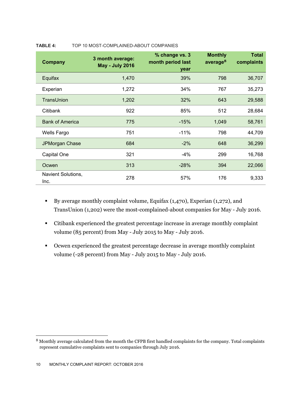| <b>Company</b>             | 3 month average:<br><b>May - July 2016</b> | % change vs. 3<br>month period last<br>year | <b>Monthly</b><br>average $8$ | <b>Total</b><br>complaints |
|----------------------------|--------------------------------------------|---------------------------------------------|-------------------------------|----------------------------|
| Equifax                    | 1,470                                      | 39%                                         | 798                           | 36,707                     |
| Experian                   | 1,272                                      | 34%                                         | 767                           | 35,273                     |
| TransUnion                 | 1,202                                      | 32%                                         | 643                           | 29,588                     |
| Citibank                   | 922                                        | 85%                                         | 512                           | 28,684                     |
| <b>Bank of America</b>     | 775                                        | $-15%$                                      | 1,049                         | 58,761                     |
| Wells Fargo                | 751                                        | $-11%$                                      | 798                           | 44,709                     |
| JPMorgan Chase             | 684                                        | $-2%$                                       | 648                           | 36,299                     |
| Capital One                | 321                                        | $-4%$                                       | 299                           | 16,768                     |
| Ocwen                      | 313                                        | $-28%$                                      | 394                           | 22,066                     |
| Navient Solutions,<br>Inc. | 278                                        | 57%                                         | 176                           | 9,333                      |

#### **TABLE 4:** TOP 10 MOST-COMPLAINED-ABOUT COMPANIES

- By average monthly complaint volume, Equifax  $(1,470)$ , Experian  $(1,272)$ , and TransUnion (1,202) were the most-complained-about companies for May - July 2016.
- Citibank experienced the greatest percentage increase in average monthly complaint volume (85 percent) from May - July 2015 to May - July 2016.
- Ocwen experienced the greatest percentage decrease in average monthly complaint volume (-28 percent) from May - July 2015 to May - July 2016.

<sup>8</sup> Monthly average calculated from the month the CFPB first handled complaints for the company. Total complaints represent cumulative complaints sent to companies through July 2016.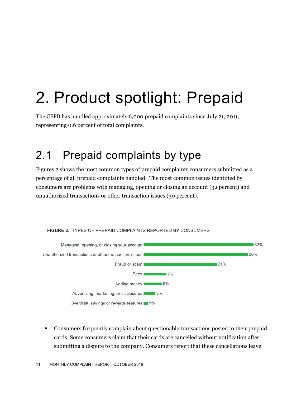## 2. Product spotlight: Prepaid

The CFPB has handled approximately 6,000 prepaid complaints since July 21, 2011, representing 0.6 percent of total complaints.

### 2.1 Prepaid complaints by type

**FIGURE 2:** TYPES OF PREPAID COMPLAINTS REPORTED BY CONSUMERS

Figures 2 shows the most common types of prepaid complaints consumers submitted as a percentage of all prepaid complaints handled. The most common issues identified by consumers are problems with managing, opening or closing an account (32 percent) and unauthorized transactions or other transaction issues (30 percent).



### Consumers frequently complain about questionable transactions posted to their prepaid cards. Some consumers claim that their cards are cancelled without notification after submitting a dispute to the company. Consumers report that these cancellations leave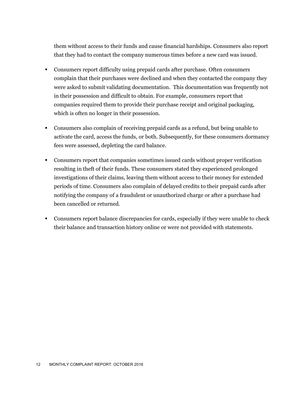them without access to their funds and cause financial hardships. Consumers also report that they had to contact the company numerous times before a new card was issued.

- Consumers report difficulty using prepaid cards after purchase. Often consumers complain that their purchases were declined and when they contacted the company they were asked to submit validating documentation. This documentation was frequently not in their possession and difficult to obtain. For example, consumers report that companies required them to provide their purchase receipt and original packaging, which is often no longer in their possession.
- Consumers also complain of receiving prepaid cards as a refund, but being unable to activate the card, access the funds, or both. Subsequently, for these consumers dormancy fees were assessed, depleting the card balance.
- Consumers report that companies sometimes issued cards without proper verification resulting in theft of their funds. These consumers stated they experienced prolonged investigations of their claims, leaving them without access to their money for extended periods of time. Consumers also complain of delayed credits to their prepaid cards after notifying the company of a fraudulent or unauthorized charge or after a purchase had been cancelled or returned.
- Consumers report balance discrepancies for cards, especially if they were unable to check their balance and transaction history online or were not provided with statements.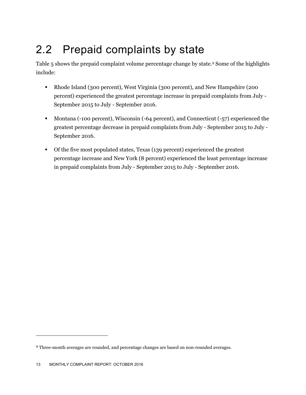## 2.2 Prepaid complaints by state

Table 5 shows the prepaid complaint volume percentage change by state.<sup>9</sup> Some of the highlights include:

- Rhode Island (300 percent), West Virginia (300 percent), and New Hampshire (200 percent) experienced the greatest percentage increase in prepaid complaints from July - September 2015 to July - September 2016.
- Montana (-100 percent), Wisconsin (-64 percent), and Connecticut (-57) experienced the greatest percentage decrease in prepaid complaints from July - September 2015 to July - September 2016.
- Of the five most populated states, Texas (139 percent) experienced the greatest percentage increase and New York (8 percent) experienced the least percentage increase in prepaid complaints from July - September 2015 to July - September 2016.

<sup>9</sup> Three-month averages are rounded, and percentage changes are based on non-rounded averages.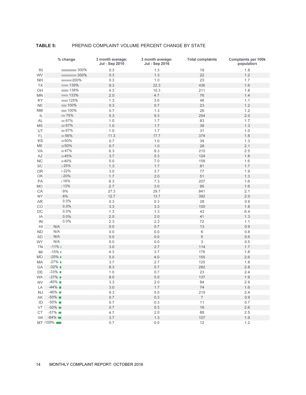#### **TABLE 5:** PREPAID COMPLAINT VOLUME PERCENT CHANGE BY STATE

|                | % change               | 3 month average:<br>Jul - Sep 2015 | 3 month average:<br><b>Jul - Sep 2016</b> | <b>Total complaints</b> | <b>Complaints per 100k</b><br>population |
|----------------|------------------------|------------------------------------|-------------------------------------------|-------------------------|------------------------------------------|
| RI             | 300%                   | 0.3                                | 1.3                                       | 19                      | 1.8                                      |
| WV             | 300%                   | 0.3                                | 1.3                                       | 22                      | 1.2                                      |
| <b>NH</b>      | 200%                   | 0.3                                | $1.0$                                     | 23                      | 1.7                                      |
| TX             | $\sim$ 139%            | 9.3                                | 22.3                                      | 436                     | 1.6                                      |
| OH             | 138%                   | 4.3                                | 10.3                                      | 211                     | 1.8                                      |
| <b>MN</b>      | $\sim$ 133%            | 2.0                                | 4.7                                       | 76                      | 1.4                                      |
| KY             | $\sim$ 125%            | 1.3                                | 3.0                                       | 48                      | 1.1                                      |
| <b>NE</b>      | 100%                   | 0.3                                | 0.7                                       | 23                      | 1.2                                      |
| <b>NM</b>      | 100%                   | 0.7                                | 1.3                                       | 26                      | 1.2                                      |
| IL             | $\blacksquare$ 75%     | 5.3                                | 9.3                                       | 254                     | 2.0                                      |
| <b>AL</b>      | $-67%$                 | 1.0                                | 1.7                                       | 83                      | 1.7                                      |
| <b>MS</b>      | $-67%$                 | 1.0                                | 1.7                                       | 38                      | 1.3                                      |
| UT             | $-67%$                 | 1.0                                | 1.7                                       | 31                      | 1.0                                      |
|                |                        |                                    |                                           |                         |                                          |
| FL             | 156%                   | 11.3                               | 17.7                                      | 374                     | 1.8                                      |
| KS             | $\blacksquare$ 50%     | 0.7                                | $1.0$                                     | 39                      | 1.3                                      |
| ME             | $\blacksquare$ 50%     | 0.7                                | $1.0$                                     | 28                      | 2.1                                      |
| VA             | $\blacksquare$ 47%     | 6.3                                | 9.3                                       | 210                     | 2.5                                      |
| AZ             | $-45%$                 | 3.7                                | 5.3                                       | 124                     | 1.8                                      |
| <b>NC</b>      | ■40%                   | $5.0$                              | 7.0                                       | 158                     | 1.6                                      |
| SC             | 25%                    | 1.3                                | 1.7                                       | 81                      | 1.7                                      |
| OR             | $22\%$                 | 3.0                                | 3.7                                       | $77\,$                  | 1.9                                      |
| OK             | ■20%                   | 1.7                                | 2.0                                       | 51                      | 1.3                                      |
| PA             | ∎16%                   | 6.3                                | 7.3                                       | 207                     | 1.6                                      |
| MO             | 13%                    | 2.7                                | 3.0                                       | 95                      | 1.6                                      |
| CA             | 19%                    | 27.3                               | 29.7                                      | 841                     | 2.1                                      |
| <b>NY</b>      | 18%                    | 12.7                               | 13.7                                      | 392                     | 2.0                                      |
| AR             | 10.0%                  | 0.3                                | 0.3                                       | 28                      | 0.9                                      |
| CO             | 10.0%                  | 3.3                                | 3.3                                       | 100                     | 1.8                                      |
| DC             | 10.0%                  | 1.3                                | 1.3                                       | 43                      | 6.4                                      |
| IA             | 10.0%                  | 2.0                                | $2.0\,$                                   | 41                      | 1.3                                      |
| IN             | 10.0%                  | 2.3                                | 2.3                                       | 72                      | 1.1                                      |
| H <sub>1</sub> | N/A                    | $0.0\,$                            | 0.7                                       | 13                      | 0.9                                      |
| ND             | N/A                    | $0.0$                              | $0.0$                                     | 6                       | 0.8                                      |
| <b>SD</b>      | N/A                    | 0.0                                | 0.0                                       | $\,$ 5 $\,$             | 0.6                                      |
| <b>WY</b>      | N/A                    | 0.0                                | 0.0                                       | $\sqrt{3}$              | 0.5                                      |
| ΤN             | $-11%$ 1               | 3.0                                | 2.7                                       | 114                     | 1.7                                      |
| MI             | $-15%$ 1               | 4.3                                | 3.7                                       | 176                     | 1.8                                      |
| MD             | $-20\%$                | $5.0$                              | 4.0                                       | 155                     | 2.6                                      |
| МA             | $-27\%$                | 3.7                                | 2.7                                       | 125                     | 1.8                                      |
| GA             | $-32\%$                | 8.3                                | $5.7\,$                                   | 282                     | 2.8                                      |
| DE             | $-33\%$                | 1.0                                | 0.7                                       | 23                      | 2.4                                      |
| <b>WA</b>      | $-37\%$                | $8.0\,$                            | $5.0$                                     | 137                     | 1.9                                      |
| NV.            | $-40\%$                | 3.3                                | $2.0\,$                                   | 84                      | 2.9                                      |
|                |                        |                                    |                                           | 74                      |                                          |
| LA             | $-44\%$<br>$-46\%$     | $3.0$                              | 1.7                                       |                         | 1.6                                      |
| NJ             |                        | 9.3                                | $5.0\,$                                   | 219                     | 2.4                                      |
| AK             | $-50\%$                | $0.7\,$                            | $0.3\,$                                   | $\overline{7}$          | 0.9                                      |
| ID             | $-50\%$                | 0.7                                | 0.3                                       | 11                      | 0.7                                      |
| VT             | $-50\%$                | 0.7                                | $0.3\,$                                   | 16                      | 2.6                                      |
| CT             | $-57\%$                | 4.7                                | $2.0\,$                                   | 88                      | 2.5                                      |
| WI             | $-64\%$ $\blacksquare$ | $3.7\,$                            | 1.3                                       | 107                     | 1.9                                      |
|                | MT-100%                | $0.7\,$                            | $0.0$                                     | 12                      | 1.2                                      |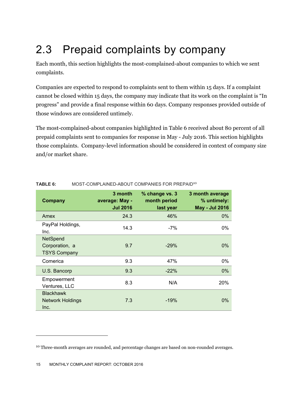### 2.3 Prepaid complaints by company

Each month, this section highlights the most-complained-about companies to which we sent complaints.

Companies are expected to respond to complaints sent to them within 15 days. If a complaint cannot be closed within 15 days, the company may indicate that its work on the complaint is "In progress" and provide a final response within 60 days. Company responses provided outside of those windows are considered untimely.

The most-complained-about companies highlighted in Table 6 received about 80 percent of all prepaid complaints sent to companies for response in May - July 2016. This section highlights those complaints. Company-level information should be considered in context of company size and/or market share.

| <b>Company</b>                                           | 3 month<br>average: May -<br><b>Jul 2016</b> | % change vs. 3<br>month period<br>last year | 3 month average<br>% untimely:<br><b>May - Jul 2016</b> |
|----------------------------------------------------------|----------------------------------------------|---------------------------------------------|---------------------------------------------------------|
| Amex                                                     | 24.3                                         | 46%                                         | $0\%$                                                   |
| PayPal Holdings,<br>Inc.                                 | 14.3                                         | $-7%$                                       | 0%                                                      |
| <b>NetSpend</b><br>Corporation, a<br><b>TSYS Company</b> | 9.7                                          | $-29%$                                      | $0\%$                                                   |
| Comerica                                                 | 9.3                                          | 47%                                         | 0%                                                      |
| U.S. Bancorp                                             | 9.3                                          | $-22%$                                      | $0\%$                                                   |
| Empowerment<br>Ventures, LLC                             | 8.3                                          | N/A                                         | 20%                                                     |
| <b>Blackhawk</b><br><b>Network Holdings</b><br>Inc.      | 7.3                                          | $-19%$                                      | $0\%$                                                   |

#### **TABLE 6:** MOST-COMPLAINED-ABOUT COMPANIES FOR PREPAID<sup>10</sup>

 $\overline{a}$ 

<sup>&</sup>lt;sup>10</sup> Three-month averages are rounded, and percentage changes are based on non-rounded averages.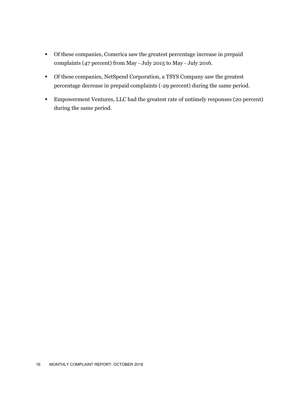- Of these companies, Comerica saw the greatest percentage increase in prepaid complaints (47 percent) from May - July 2015 to May - July 2016.
- Of these companies, NetSpend Corporation, a TSYS Company saw the greatest percentage decrease in prepaid complaints (-29 percent) during the same period.
- Empowerment Ventures, LLC had the greatest rate of untimely responses (20 percent) during the same period.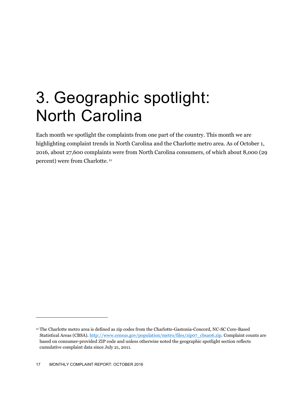## 3. Geographic spotlight: North Carolina

Each month we spotlight the complaints from one part of the country. This month we are highlighting complaint trends in North Carolina and the Charlotte metro area. As of October 1, 2016, about 27,600 complaints were from North Carolina consumers, of which about 8,000 (29 percent) were from Charlotte. 11

<sup>11</sup> The Charlotte metro area is defined as zip codes from the Charlotte-Gastonia-Concord, NC-SC Core-Based Statistical Areas (CBSA). http://www.census.gov/population/metro/files/zip07\_cbsa06.zip. Complaint counts are based on consumer-provided ZIP code and unless otherwise noted the geographic spotlight section reflects cumulative complaint data since July 21, 2011.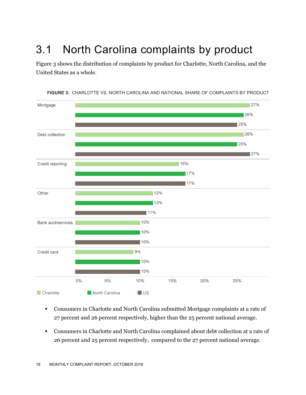## 3.1 North Carolina complaints by product

Figure 3 shows the distribution of complaints by product for Charlotte, North Carolina, and the United States as a whole.



**FIGURE 3:** CHARLOTTE VS. NORTH CAROLINA AND NATIONAL SHARE OF COMPLAINTS BY PRODUCT

- Consumers in Charlotte and North Carolina submitted Mortgage complaints at a rate of 27 percent and 26 percent respectively, higher than the 25 percent national average.
- Consumers in Charlotte and North Carolina complained about debt collection at a rate of 26 percent and 25 percent respectively, compared to the 27 percent national average.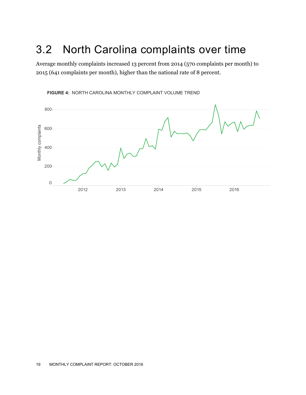### 3.2 North Carolina complaints over time

Average monthly complaints increased 13 percent from 2014 (570 complaints per month) to 2015 (641 complaints per month), higher than the national rate of 8 percent.



**FIGURE 4:** NORTH CAROLINA MONTHLY COMPLAINT VOLUME TREND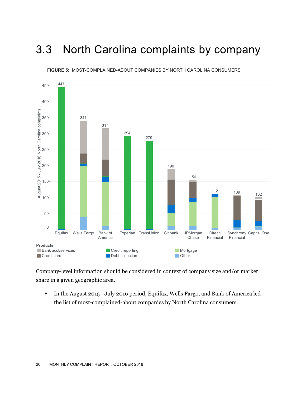### 3.3 North Carolina complaints by company



**FIGURE 5:** MOST-COMPLAINED-ABOUT COMPANIES BY NORTH CAROLINA CONSUMERS

Company-level information should be considered in context of company size and/or market share in a given geographic area.

 In the August 2015 - July 2016 period, Equifax, Wells Fargo, and Bank of America led the list of most-complained-about companies by North Carolina consumers.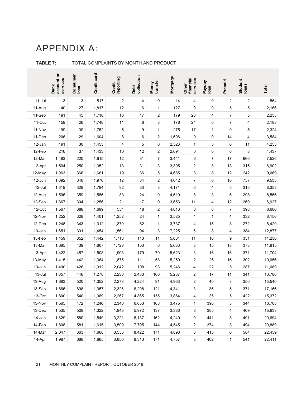### APPENDIX A:

|          | account or<br>services<br><b>Bank</b> | Consumer<br>Ioan | Credit card | reporting<br>Credit | Debt<br>collection | transfer<br>Money       | Mortgage | financial<br>services<br>Other | Payday<br>Ioan | Prepaid      | Student<br>Ioans        | <b>Total</b> |
|----------|---------------------------------------|------------------|-------------|---------------------|--------------------|-------------------------|----------|--------------------------------|----------------|--------------|-------------------------|--------------|
| $11-Jul$ | 13                                    | 3                | 517         | 2                   | 4                  | 0                       | 14       | 4                              | 0              | 2            | $\overline{\mathbf{c}}$ | 564          |
| 11-Aug   | 140                                   | 27               | 1,817       | 12                  | 6                  | $\mathbf{1}$            | 127      | 9                              | 0              | 5            | 5                       | 2,166        |
| 11-Sep   | 191                                   | 45               | 1,718       | 18                  | 17                 | 2                       | 179      | 28                             | 4              | 7            | 3                       | 2,233        |
| 11-Oct   | 159                                   | 26               | 1,748       | 11                  | 8                  | 3                       | 178      | 24                             | 0              | 7            | 4                       | 2,188        |
| 11-Nov   | 199                                   | 39               | 1,752       | 5                   | 9                  | 1                       | 275      | 17                             | 1              | 0            | 5                       | 2,324        |
| 11-Dec   | 206                                   | 29               | 1,604       | 8                   | 6                  | 2                       | 1,696    | 0                              | 0              | 14           | 4                       | 3,584        |
| 12-Jan   | 191                                   | $30\,$           | 1,453       | 4                   | 5                  | $\pmb{0}$               | 2,526    | 1                              | 3              | 6            | 11                      | 4,253        |
| 12-Feb   | 216                                   | 37               | 1,433       | 10                  | 12                 | 2                       | 2,694    | 0                              | 0              | 6            | 8                       | 4,437        |
| 12-Mar   | 1,463                                 | 220              | 1,615       | 12                  | 31                 | $\overline{7}$          | 3,441    | 6                              | $\overline{7}$ | 17           | 666                     | 7,526        |
| 12-Apr   | 1,504                                 | 250              | 1,352       | 13                  | 31                 | 3                       | 3,395    | 2                              | 8              | 13           | 315                     | 6,902        |
| 12-May   | 1,963                                 | 366              | 1,661       | 19                  | 36                 | 5                       | 4,685    | 3                              | 8              | 12           | 242                     | 9,069        |
| 12-Jun   | 1,692                                 | 340              | 1,976       | 12                  | 34                 | $\overline{\mathbf{c}}$ | 4,642    | 7                              | 6              | 10           | 757                     | 9,533        |
| 12-Jul   | 1,619                                 | 329              | 1,794       | 32                  | 33                 | 3                       | 4,171    | 6                              | 4              | 5            | 315                     | 8,353        |
| 12-Aug   | 1,596                                 | 359              | 1,586       | 33                  | 24                 | 0                       | 4,610    | 8                              | 3              | 6            | 298                     | 8,556        |
| 12-Sep   | 1,367                                 | 304              | 1,256       | 21                  | 17                 | 0                       | 3,653    | 11                             | 4              | 12           | 260                     | 6,927        |
| 12-Oct   | 1,567                                 | 388              | 1,699       | 551                 | 18                 | 2                       | 4,013    | 6                              | 6              | 7            | 398                     | 8,686        |
| 12-Nov   | 1,252                                 | 328              | 1,401       | 1,252               | 24                 | 1                       | 3,525    | 4                              | $\mathbf{1}$   | 4            | 332                     | 8,156        |
| 12-Dec   | 1,248                                 | 343              | 1,312       | 1,370               | 62                 | 1                       | 3,737    | 4                              | 15             | 8            | 272                     | 8,420        |
| 13-Jan   | 1,651                                 | 391              | 1,454       | 1,561               | 94                 | 3                       | 7,225    | 6                              | 8              | 4            | 384                     | 12,877       |
| 13-Feb   | 1,459                                 | 352              | 1,442       | 1,710               | 113                | 11                      | 5,681    | 11                             | 16             | 9            | 331                     | 11,230       |
| 13-Mar   | 1,685                                 | 439              | 1,607       | 1,728               | 153                | 6                       | 5,633    | 3                              | 15             | 18           | 373                     | 11,815       |
| 13-Apr   | 1,422                                 | 457              | 1,508       | 1,903               | 179                | 79                      | 5,623    | 3                              | 16             | 16           | 371                     | 11,704       |
| 13-May   | 1,415                                 | 442              | 1,364       | 1,875               | 111                | 58                      | 5,250    | 2                              | 26             | 16           | 302                     | 10,956       |
| 13-Jun   | 1,490                                 | 426              | 1,312       | 2,042               | 108                | 93                      | 5,246    | 4                              | 22             | 5            | 287                     | 11,089       |
| 13-Jul   | 1,657                                 | 446              | 1,278       | 2,236               | 2,433              | 100                     | 5,237    | 2                              | 17             | 11           | 341                     | 13,786       |
| 13-Aug   | 1,683                                 | 520              | 1,352       | 2,273               | 4,224              | 91                      | 4,963    | 2                              | 40             | 8            | 350                     | 15,540       |
| 13-Sep   | 1,666                                 | 608              | 1,357       | 2,326               | 6,298              | 121                     | 4,341    | 3                              | 36             | 5            | 371                     | 17,166       |
| 13-Oct   | 1,800                                 | 540              | 1,369       | 2,267               | 4,865              | 155                     | 3,864    | 4                              | 35             | 5            | 422                     | 15,372       |
| 13-Nov   | 1,565                                 | 472              | 1,246       | 2,340               | 6,653              | 168                     | 3,475    | $\mathbf{1}$                   | 396            | 3            | 344                     | 16,708       |
| 13-Dec   | 1,535                                 | 508              | 1,322       | 1,943               | 5,972              | 137                     | 3,386    | 3                              | 385            | 4            | 409                     | 15,633       |
| 14-Jan   | 1,829                                 | 580              | 1,549       | 3,221               | 8,137              | 162                     | 4,240    | 0                              | 441            | 8            | 491                     | 20,694       |
| 14-Feb   | 1,808                                 | 581              | 1,615       | 3,509               | 7,795              | 144                     | 4,545    | 2                              | 374            | 3            | 494                     | 20,889       |
| 14-Mar   | 2,047                                 | 663              | 1,668       | 3,556               | 8,422              | 171                     | 4,898    | 3                              | 413            | 6            | 584                     | 22,459       |
| 14-Apr   | 1,987                                 | 688              | 1,665       | 3,850               | 8,313              | 171                     | 4,757    | 8                              | 402            | $\mathbf{1}$ | 541                     | 22,411       |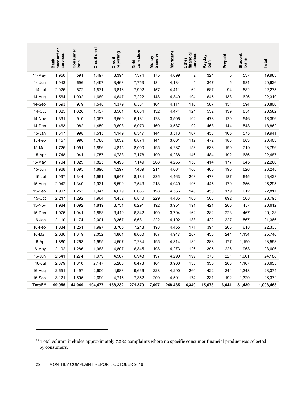|                     | account or<br>services<br><b>Bank</b>                                                                                                         | Consumer<br>loan | Credit card | reporting<br>Credit | collection<br>Debt | transfer<br>Money | Mortgage | financial<br>services<br>Other | Payday<br>Ioan | Prepaid | Student<br>loans | Total     |
|---------------------|-----------------------------------------------------------------------------------------------------------------------------------------------|------------------|-------------|---------------------|--------------------|-------------------|----------|--------------------------------|----------------|---------|------------------|-----------|
| 14-May              | 1,950                                                                                                                                         | 591              | 1,497       | 3,394               | 7,374              | 175               | 4,099    | 2                              | 324            | 5       | 537              | 19,983    |
| 14-Jun              | 1,943                                                                                                                                         | 696              | 1,497       | 3,463               | 7,753              | 184               | 4,134    | 4                              | 347            | 5       | 584              | 20,626    |
| 14-Jul              | 2,026                                                                                                                                         | 872              | 1,571       | 3,816               | 7,992              | 157               | 4,411    | 62                             | 587            | 94      | 582              | 22,275    |
| 14-Aug              | 1,564                                                                                                                                         | 1,002            | 1,689       | 4,647               | 7,222              | 148               | 4,340    | 104                            | 645            | 138     | 626              | 22,319    |
| 14-Sep              | 1,593                                                                                                                                         | 979              | 1,548       | 4,379               | 6,381              | 164               | 4,114    | 110                            | 587            | 151     | 594              | 20,806    |
| 14-Oct              | 1,625                                                                                                                                         | 1,026            | 1,437       | 3,561               | 6,684              | 132               | 4,474    | 124                            | 532            | 139     | 654              | 20,582    |
| 14-Nov              | 1,391                                                                                                                                         | 910              | 1,357       | 3,569               | 6,131              | 123               | 3,506    | 102                            | 478            | 129     | 546              | 18,396    |
| 14-Dec              | 1,463                                                                                                                                         | 982              | 1,459       | 3,698               | 6,070              | 160               | 3,587    | 92                             | 468            | 144     | 548              | 18,862    |
| 15-Jan              | 1,617                                                                                                                                         | 998              | 1,515       | 4,149               | 6,547              | 144               | 3,513    | 107                            | 458            | 165     | 575              | 19,941    |
| 15-Feb              | 1,457                                                                                                                                         | 990              | 1,788       | 4,032               | 6,874              | 141               | 3,601    | 112                            | 472            | 183     | 603              | 20,403    |
| 15-Mar              | 1,725                                                                                                                                         | 1,091            | 1,896       | 4,815               | 8,000              | 195               | 4,287    | 158                            | 538            | 199     | 719              | 23,796    |
| 15-Apr              | 1,748                                                                                                                                         | 941              | 1,757       | 4,733               | 7,178              | 190               | 4,238    | 146                            | 484            | 192     | 686              | 22,487    |
| 15-May              | 1,704                                                                                                                                         | 1,029            | 1,825       | 4,493               | 7,149              | 208               | 4,266    | 156                            | 414            | 177     | 645              | 22,266    |
| 15-Jun              | 1,968                                                                                                                                         | 1,095            | 1,890       | 4,297               | 7,469              | 211               | 4,664    | 166                            | 460            | 195     | 626              | 23,248    |
| 15-Jul              | 1,997                                                                                                                                         | 1,344            | 1,961       | 6,547               | 8,184              | 235               | 4,463    | 203                            | 478            | 187     | 645              | 26,423    |
| 15-Aug              | 2,042                                                                                                                                         | 1,340            | 1,931       | 5,590               | 7,543              | 218               | 4,949    | 196                            | 445            | 179     | 656              | 25,295    |
| 15-Sep              | 1,907                                                                                                                                         | 1,253            | 1,947       | 4,679               | 6,666              | 198               | 4,566    | 148                            | 450            | 179     | 612              | 22,817    |
| 15-Oct              | 2,247                                                                                                                                         | 1,292            | 1,964       | 4,432               | 6,810              | 229               | 4,435    | 160                            | 508            | 892     | 568              | 23,795    |
| 15-Nov              | 1,984                                                                                                                                         | 1,092            | 1,819       | 3,731               | 6,291              | 192               | 3,951    | 191                            | 421            | 260     | 457              | 20,612    |
| 15-Dec              | 1,975                                                                                                                                         | 1,041            | 1,883       | 3,419               | 6,342              | 190               | 3,794    | 162                            | 382            | 223     | 467              | 20,138    |
| 16-Jan              | 2,110                                                                                                                                         | 1,174            | 2,001       | 3,367               | 6,681              | 222               | 4,192    | 183                            | 422            | 227     | 567              | 21,366    |
| 16-Feb              | 1,834                                                                                                                                         | 1,251            | 1,997       | 3,705               | 7,248              | 198               | 4,455    | 171                            | 394            | 206     | 618              | 22,333    |
| 16-Mar              | 2,036                                                                                                                                         | 1,349            | 2,052       | 4,861               | 8,030              | 187               | 4,947    | 207                            | 436            | 241     | 1,134            | 25,740    |
| 16-Apr              | 1,880                                                                                                                                         | 1,263            | 1,995       | 4,507               | 7,234              | 195               | 4,314    | 189                            | 383            | 177     | 1,190            | 23,553    |
| 16-May              | 2,192                                                                                                                                         | 1,286            | 1,983       | 4,807               | 6,845              | 198               | 4,273    | 126                            | 395            | 226     | 963              | 23,606    |
| 16-Jun              | 2,541                                                                                                                                         | 1,274            | 1,979       | 4,907               | 6,943              | 197               | 4,290    | 199                            | 370            | 221     | 1,001            | 24,188    |
| 16-Jul              | 2,379                                                                                                                                         | 1,310            | 2,147       | 5,206               | 6,473              | 164               | 3,906    | 138                            | 335            | 208     | 1,167            | 23,655    |
| 16-Aug              | 2,651                                                                                                                                         | 1,497            | 2,600       | 4,988               | 9,666              | 228               | 4,290    | 260                            | 422            | 244     | 1,248            | 28,374    |
| 16-Sep              | 3,121                                                                                                                                         | 1,505            | 2,690       | 4,715               | 7,352              | 209               | 4,501    | 174                            | 331            | 192     | 1,329            | 26,372    |
| Total <sup>12</sup> | 99,955                                                                                                                                        | 44,049           | 104,477     | 168,232             | 271,379            | 7,097             | 248,485  | 4,349                          | 15,678         | 6,041   | 31,439           | 1,008,463 |
|                     |                                                                                                                                               |                  |             |                     |                    |                   |          |                                |                |         |                  |           |
| 22                  | <sup>12</sup> Total column includes approximately 7,282 complaints where no specific consumer financial product was selected<br>by consumers. |                  |             |                     |                    |                   |          |                                |                |         |                  |           |

<sup>12</sup> Total column includes approximately 7,282 complaints where no specific consumer financial product was selected by consumers.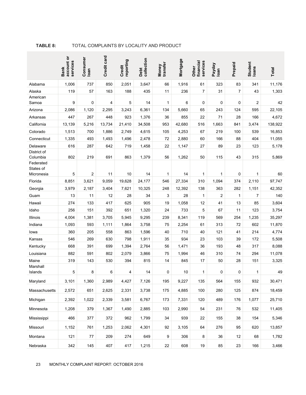|                         | account or<br>services<br><b>Bank</b> | Consumer<br>Ioan | Credit card | reporting<br>Credit | Debt<br>collection | transfer<br>Money | Mortgage | financial<br>services<br>Other | Payday<br>loan | Prepaid        | Student<br>Ioans | Total   |
|-------------------------|---------------------------------------|------------------|-------------|---------------------|--------------------|-------------------|----------|--------------------------------|----------------|----------------|------------------|---------|
| Alabama                 | 1,006                                 | 737              | 850         | 2,051               | 3,647              | 66                | 1,916    | 61                             | 323            | 83             | 341              | 11,176  |
| Alaska                  | 119                                   | 57               | 163         | 188                 | 435                | 11                | 236      | $\overline{7}$                 | 31             | $\overline{7}$ | 43               | 1,303   |
| American                |                                       |                  |             |                     |                    |                   |          |                                |                |                |                  |         |
| Samoa                   | 9                                     | 0                | 4           | 5                   | 14                 | 1                 | 6        | 0                              | 0              | 0              | 2                | 42      |
| Arizona                 | 2,086                                 | 1,120            | 2,295       | 3,243               | 6,361              | 134               | 5,660    | 65                             | 243            | 124            | 595              | 22,105  |
| Arkansas                | 447                                   | 267              | 448         | 923                 | 1,376              | 36                | 855      | 22                             | 71             | 28             | 166              | 4,672   |
| California              | 13,139                                | 5,216            | 13,734      | 21,410              | 34,508             | 953               | 42,680   | 516                            | 1,663          | 841            | 3,474            | 138,922 |
| Colorado                | 1,513                                 | 700              | 1,886       | 2,749               | 4,615              | 105               | 4,253    | 67                             | 219            | 100            | 539              | 16,853  |
| Connecticut             | 1,335                                 | 493              | 1,493       | 1,496               | 2,478              | 72                | 2,880    | 60                             | 166            | 88             | 404              | 11,055  |
| Delaware                | 616                                   | 287              | 642         | 719                 | 1,458              | 22                | 1,147    | 27                             | 89             | 23             | 123              | 5,178   |
| District of<br>Columbia | 802                                   | 219              | 691         | 863                 | 1,379              | 56                | 1,262    | 50                             | 115            | 43             | 315              | 5,869   |
| Federated<br>States of  |                                       |                  |             |                     |                    |                   |          |                                |                |                |                  |         |
| Micronesia              | 5                                     | 2                | 11          | 10                  | 14                 | 1                 | 14       | 1                              | 1              | 0              | 1                | 60      |
| Florida                 | 8,851                                 | 3,621            | 9.059       | 19,628              | 24,177             | 546               | 27,334   | 310                            | 1,094          | 374            | 2,110            | 97,747  |
| Georgia                 | 3,979                                 | 2,187            | 3,404       | 7,621               | 10,325             | 248               | 12,392   | 138                            | 363            | 282            | 1,151            | 42,352  |
| Guam                    | 13                                    | 11               | 12          | 28                  | 34                 | 3                 | 28       | 1                              | $\overline{c}$ | $\mathbf{1}$   | 7                | 140     |
| Hawaii                  | 274                                   | 133              | 417         | 625                 | 905                | 19                | 1,058    | 12                             | 41             | 13             | 85               | 3,604   |
| Idaho                   | 256                                   | 151              | 392         | 651                 | 1,320              | 24                | 733      | 5                              | 67             | 11             | 123              | 3,754   |
| Illinois                | 4,004                                 | 1,381            | 3,705       | 5,945               | 9,295              | 239               | 8,341    | 119                            | 569            | 254            | 1,235            | 35,297  |
| Indiana                 | 1,093                                 | 593              | 1,111       | 1,864               | 3,758              | 75                | 2,254    | 61                             | 313            | 72             | 602              | 11,870  |
| lowa                    | 360                                   | 205              | 558         | 863                 | 1,596              | 40                | 710      | 40                             | 121            | 41             | 214              | 4,774   |
| Kansas                  | 546                                   | 269              | 630         | 798                 | 1,911              | 35                | 934      | 23                             | 103            | 39             | 172              | 5,508   |
| Kentucky                | 668                                   | 391              | 699         | 1,394               | 2,764              | 56                | 1,471    | 36                             | 193            | 48             | 317              | 8,088   |
| Louisiana               | 882                                   | 591              | 802         | 2,079               | 3,866              | 75                | 1,994    | 46                             | 310            | 74             | 294              | 11,078  |
| Maine                   | 319                                   | 143              | 530         | 394                 | 815                | 14                | 845      | 17                             | 50             | 28             | 151              | 3,325   |
| Marshall                |                                       |                  |             |                     |                    |                   |          |                                |                |                |                  |         |
| Islands                 | 5                                     | 8                | 6           | 4                   | 14                 | 0                 | 10       | 1                              | $\mathbf 0$    | $\mathbf 0$    | 1                | 49      |
| Maryland                | 3,101                                 | 1,360            | 2,989       | 4,427               | 7,126              | 195               | 9,227    | 135                            | 564            | 155            | 932              | 30,471  |
| Massachusetts           | 2,572                                 | 651              | 2,625       | 2,331               | 3,738              | 175               | 4,885    | 100                            | 280            | 125            | 874              | 18,459  |
| Michigan                | 2,392                                 | 1,022            | 2,339       | 3,581               | 6,767              | 173               | 7,331    | 120                            | 489            | 176            | 1,077            | 25,710  |
| Minnesota               | 1,208                                 | 379              | 1,367       | 1,490               | 2,885              | 103               | 2,990    | 54                             | 231            | 76             | 532              | 11,405  |
| Mississippi             | 466                                   | 377              | 372         | 962                 | 1,799              | 34                | 939      | 22                             | 155            | 38             | 154              | 5,346   |
| Missouri                | 1,152                                 | 761              | 1,253       | 2,062               | 4,301              | 92                | 3,105    | 64                             | 276            | 95             | 620              | 13,857  |
| Montana                 | 121                                   | 77               | 209         | 274                 | 649                | 9                 | 306      | 8                              | 36             | 12             | 68               | 1,782   |
| Nebraska                | 342                                   | 145              | 407         | 417                 | 1,215              | 22                | 608      | 19                             | 85             | 23             | 166              | 3,466   |

#### **TABLE 8:** TOTAL COMPLAINTS BY LOCALITY AND PRODUCT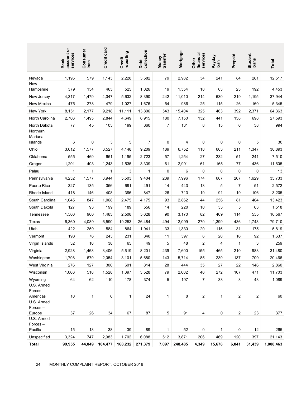|                                  | account or<br>services<br><b>Bank</b>  | Consumer<br>loan | Credit card | reporting<br>Credit | collection<br>Debt | transfer<br>Money | Mortgage | services<br>financial<br>Other | Payday<br>Ioan | Prepaid        | Student<br>Ioans | Total     |
|----------------------------------|----------------------------------------|------------------|-------------|---------------------|--------------------|-------------------|----------|--------------------------------|----------------|----------------|------------------|-----------|
| Nevada                           | 1,195                                  | 579              | 1,143       | 2,228               | 3,582              | 79                | 2,982    | 34                             | 241            | 84             | 261              | 12,517    |
| <b>New</b><br>Hampshire          | 379                                    | 154              | 463         | 525                 | 1,026              | 19                | 1,554    | 18                             | 63             | 23             | 192              | 4,453     |
| New Jersey                       | 4,317                                  | 1,479            | 4,347       | 5,632               | 8,390              | 242               | 11,010   | 214                            | 630            | 219            | 1,195            | 37,944    |
| New Mexico                       | 475                                    | 278              | 479         | 1,027               | 1,676              | 54                | 986      | 25                             | 115            | 26             | 160              | 5,345     |
| New York                         | 8,151                                  | 2,177            | 9,218       | 11,111              | 13,806             | 543               | 15,404   | 325                            | 463            | 392            | 2,371            | 64,363    |
| North Carolina                   | 2,706                                  | 1,495            | 2,844       | 4,649               | 6,915              | 180               | 7,150    | 132                            | 441            | 158            | 698              | 27,593    |
| North Dakota                     | 77                                     | 45               | 103         | 199                 | 360                | $\overline{7}$    | 131      | 8                              | 15             | 6              | 38               | 994       |
| Northern<br>Mariana<br>Islands   | 6                                      | 0                | 3           | 5                   | 7                  | 0                 | 4        | 0                              | 0              | 0              | 5                | 30        |
| Ohio                             | 3,012                                  | 1,577            | 3,527       | 4,148               | 9,209              | 189               | 6,752    | 118                            | 603            | 211            | 1,347            | 30,893    |
| Oklahoma                         | 555                                    | 469              | 651         | 1,195               | 2,723              | 57                | 1,254    | 27                             | 232            | 51             | 241              | 7,510     |
| Oregon                           | 1,201                                  | 403              | 1,243       | 1,535               | 3,339              | 61                | 2,991    | 61                             | 165            | 77             | 436              | 11,605    |
| Palau                            | 1                                      | 1                | 1           | 3                   | 1                  | 0                 | 6        | 0                              | 0              | 0              | 0                | 13        |
| Pennsylvania                     | 4,252                                  | 1,577            | 3,944       | 5,503               | 9,404              | 239               | 7,996    | 174                            | 607            | 207            | 1,629            | 35,733    |
| Puerto Rico                      | 327                                    | 135              | 356         | 691                 | 491                | 14                | 443      | 13                             | 5              | $\overline{7}$ | 51               | 2,572     |
| Rhode Island                     | 418                                    | 146              | 408         | 396                 | 847                | 26                | 713      | 19                             | 91             | 19             | 106              | 3,205     |
| South Carolina                   | 1,045                                  | 847              | 1,068       | 2,475               | 4,175              | 93                | 2,862    | 44                             | 256            | 81             | 404              | 13,423    |
| South Dakota                     | 127                                    | 93               | 199         | 189                 | 556                | 14                | 220      | 10                             | 33             | 5              | 63               | 1,518     |
| Tennessee                        | 1,500                                  | 960              | 1,463       | 2,508               | 5,628              | 90                | 3,170    | 82                             | 409            | 114            | 555              | 16,567    |
| Texas                            | 6,360                                  | 4,089            | 6,590       | 19,253              | 26,484             | 494               | 12,099   | 270                            | 1,399          | 436            | 1,743            | 79,710    |
| Utah                             | 422                                    | 259              | 584         | 864                 | 1,941              | 33                | 1,330    | 20                             | 116            | 31             | 175              | 5,819     |
| Vermont                          | 198                                    | 76               | 243         | 231                 | 340                | 11                | 397      | 6                              | 20             | 16             | 92               | 1,637     |
| Virgin Islands                   | 32                                     | 10               | 38          | 65                  | 49                 | 5                 | 48       | 2                              | 4              | 1              | 3                | 259       |
| Virginia                         | 2,928                                  | 1,468            | 3,406       | 5,619               | 8,201              | 239               | 7,600    | 155                            | 465            | 210            | 983              | 31,480    |
| Washington                       | 1,798                                  | 679              | 2,054       | 3,101               | 5,680              | 143               | 5,714    | 85                             | 239            | 137            | 709              | 20,466    |
| West Virginia                    | 276                                    | 127              | 300         | 601                 | 814                | 28                | 444      | 35                             | 27             | 22             | 146              | 2,860     |
| Wisconsin                        | 1,066                                  | 518              | 1,528       | 1,397               | 3,528              | 79                | 2,602    | 46                             | 272            | 107            | 471              | 11,703    |
| Wyoming<br>U.S. Armed<br>Forces- | 64                                     | 62               | 110         | 178                 | 374                | 5                 | 197      | $\overline{7}$                 | 33             | 3              | 43               | 1,089     |
| Americas                         | 10                                     | 1                | 6           | 1                   | 24                 | 1                 | 8        | $\overline{c}$                 | $\mathbf{1}$   | 2              | $\overline{2}$   | 60        |
| U.S. Armed<br>Forces-<br>Europe  | 37                                     | 26               | 34          | 67                  | 87                 | 5                 | 91       | 4                              | 0              | 2              | 23               | 377       |
| U.S. Armed<br>Forces-<br>Pacific | 15                                     | 18               | 38          | 39                  | 89                 | 1                 | 52       | 0                              | 1              | 0              | 12               | 265       |
| Unspecified                      | 3,324                                  | 747              | 2,983       | 1,702               | 6,088              | 512               | 3,871    | 206                            | 469            | 120            | 397              | 21,143    |
| <b>Total</b>                     | 99,955                                 | 44,049           | 104,477     | 168,232             | 271,379            | 7,097             | 248,485  | 4,349                          | 15,678         | 6,041          | 31,439           | 1,008,463 |
| 24                               | MONTHLY COMPLAINT REPORT: OCTOBER 2016 |                  |             |                     |                    |                   |          |                                |                |                |                  |           |